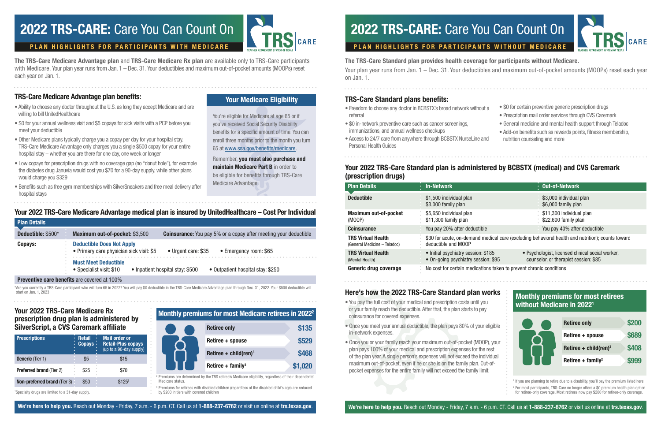The TRS-Care Standard plan provides health coverage for participants without Medicare. Your plan year runs from Jan. 1 – Dec. 31. Your deductibles and maximum out-of-pocket amounts (MOOPs) reset each year on Jan. 1.

The TRS-Care Medicare Advantage plan and TRS-Care Medicare Rx plan are available only to TRS-Care participants with Medicare. Your plan year runs from Jan. 1 – Dec. 31. Your deductibles and maximum out-of-pocket amounts (MOOPs) reset each year on Jan. 1.

> Premiums are determined by the TRS retiree's Medicare eligibility, regardless of their dependents' Medicare status.

 $3$  Premiums for retirees with disabled children (regardless of the disabled child's age) are reduced by \$200 in tiers with covered children

## 2022 TRS-CARE: Care You Can Count On  $\begin{array}{|c|c|}\n\hline\n\end{array}$  2022 TRS-CARE: Care You Can Count On

Monthly premiums for most Medicare retirees in 20222

|  | <b>Retiree only</b>               | \$135   |
|--|-----------------------------------|---------|
|  | Retiree + spouse                  | \$529   |
|  | Retiree + child(ren) <sup>3</sup> | \$468   |
|  | Retiree + family <sup>3</sup>     | \$1,020 |

#### Your 2022 TRS-Care Medicare Rx prescription drug plan is administered by SilverScript, a CVS Caremark affiliate

1 Specialty drugs are limited to a 31-day supply.

**Plan Detail** 

Remember, you must also purchase and **maintain Medicare Part B** in order to be eligible for benefits through TRS-Care

| <b>Prescriptions</b><br>٠<br>۰<br>٠ | Retail<br>٠<br><b>Copays</b><br>٠<br>٠ | <b>Mail order or</b><br><b>Retail-Plus copays</b><br>(up to a 90-day supply) |
|-------------------------------------|----------------------------------------|------------------------------------------------------------------------------|
| <b>Generic</b> (Tier 1)             | \$5                                    | \$15                                                                         |
| <b>Preferred brand (Tier 2)</b>     | $\alpha$<br>\$25<br>ó<br>$\sim$        | \$70                                                                         |
| <b>Non-preferred brand (Tier 3)</b> | \$50                                   | \$125 <sup>1</sup>                                                           |

#### TRS-Care Medicare Advantage plan benefits:

 $2$  For most participants, TRS-Care no longer offers a \$0 premium health plan option for retiree-only coverage. Most retirees now pay \$200 for retiree-only coverage.

- Ability to choose any doctor throughout the U.S. as long they accept Medicare and are willing to bill UnitedHealthcare
- \$0 for your annual wellness visit and \$5 copays for sick visits with a PCP before you meet your deductible
- Other Medicare plans typically charge you a copay per day for your hospital stay. TRS-Care Medicare Advantage only charges you a single \$500 copay for your entire hospital stay – whether you are there for one day, one week or longer
- Low copays for prescription drugs with no coverage gap (no "donut hole"), for example the diabetes drug Januvia would cost you \$70 for a 90-day supply, while other plans would charge you \$329
- Benefits such as free gym memberships with SilverSneakers and free meal delivery after hospital stays



Your Medicare Eligibility

You're eligible for Medicare at age 65 or if you've received Social Security Disability benefits for a specific amount of time. You can enroll three months prior to the month you turn 65 at www.ssa.gov/benefits/medicare.

Medicare Advantage.

#### Here's how the 2022 TRS-Care Standard plan works • You pay the full cost of your medical and prescription costs until you or your family reach the deductible. After that, the plan starts to pay coinsurance for covered expenses. • Once you meet your annual deductible, the plan pays 80% of your eligible in-network expenses • Once you or your family reach your maximum out-of-pocket (MOOP), your plan pays 100% of your medical and prescription expenses for the rest of the plan year. A single person's expenses will not exceed the individual maximum out-of-pocket, even if he or she is on the family plan. Out-ofpocket expenses for the entire family will not exceed the family limit. Monthly premiums for most retirees without Medicare in 20221 <sup>1</sup> If you are planning to retire due to a disability, you'll pay the premium listed here. Retiree only Retiree + spouse Retiree + child(ren)<sup>2</sup> Retiree  $+$  family<sup>2</sup> \$200 \$689 \$408 \$999

- 
- 
- 

We're here to help you. Reach out Monday - Friday, 7 a.m. - 6 p.m. CT. Call us at 1-888-237-6762 or visit us online at trs.texas.gov. We're here to help you. Reach out Monday - Friday, 7 a.m. - 6 p.m. CT. Call us at trs.te



• \$0 for certain preventive generic prescription drugs

\*Are you currently a TRS-Care participant who will turn 65 in 2022? You will pay \$0 deductible in the TRS-Care Medicare Advantage plan through Dec. 31, 2022. Your \$500 deductible will start on Jan. 1, 2023

### Your 2022 TRS-Care Medicare Advantage medical plan is insured by UnitedHealthcare – Cost Per Individual

| l lall Dulallo.    |                                                                                                                                                                                                                                                                   |
|--------------------|-------------------------------------------------------------------------------------------------------------------------------------------------------------------------------------------------------------------------------------------------------------------|
| Deductible: \$500* | Maximum out-of-pocket: \$3,500<br><b>Coinsurance:</b> You pay 5% or a copay after meeting your deductible                                                                                                                                                         |
| <b>Copays:</b>     | <b>Deductible Does Not Apply</b><br>• Primary care physician sick visit: \$5<br>• Urgent care: \$35<br>• Emergency room: \$65<br><b>Must Meet Deductible</b><br>• Inpatient hospital stay: \$500<br>• Outpatient hospital stay: \$250<br>• Specialist visit: \$10 |
|                    | <b>Preventive care benefits</b> are covered at 100%                                                                                                                                                                                                               |

### TRS-Care Standard plans benefits:

- Freedom to choose any doctor in BCBSTX's broad network without a referral
- \$0 in-network preventive care such as cancer screenings, immunizations, and annual wellness checkups
- Access to 24/7 care from anywhere through BCBSTX NurseLine and Personal Health Guides
- Prescription mail order services through CVS Caremark
- General medicine and mental health support through Teladoc
- Add-on benefits such as rewards points, fitness membership,

nutrition counseling and more

| <b>Plan Details</b>                                       | : In-Network                                                                                                             | : Out-of-Network                                                                          |
|-----------------------------------------------------------|--------------------------------------------------------------------------------------------------------------------------|-------------------------------------------------------------------------------------------|
| <b>Deductible</b>                                         | \$1,500 individual plan<br>\$3,000 family plan                                                                           | \$3,000 individual plan<br>\$6,000 family plan                                            |
| <b>Maximum out-of-pocket</b><br>(MOOP)                    | \$5,650 individual plan<br>\$11,300 family plan                                                                          | \$11,300 individual plan<br>\$22,600 family plan                                          |
| <b>Coinsurance</b>                                        | You pay 20% after deductible                                                                                             | You pay 40% after deductible                                                              |
| <b>TRS Virtual Health</b><br>(General Medicine - Teladoc) | \$30 for acute, on-demand medical care (excluding behavioral health and nutrition); counts toward<br>deductible and MOOP |                                                                                           |
| <b>TRS Virtual Health</b><br>(Mental Health)              | • Initial psychiatry session: \$185<br>• On-going psychiatry session: \$95                                               | • Psychologist, licensed clinical social worker,<br>counselor, or therapist session: \$85 |
| Generic drug coverage                                     | No cost for certain medications taken to prevent chronic conditions                                                      |                                                                                           |

### Your 2022 TRS-Care Standard plan is administered by BCBSTX (medical) and CVS Caremark (prescription drugs)

#### PLAN HIGHLIGHTS FOR PARTICIPANTS WITH MEDICARE PLAN HIGHLIGHTS FOR PARTICIPANTS WITHOUT MEDICARE